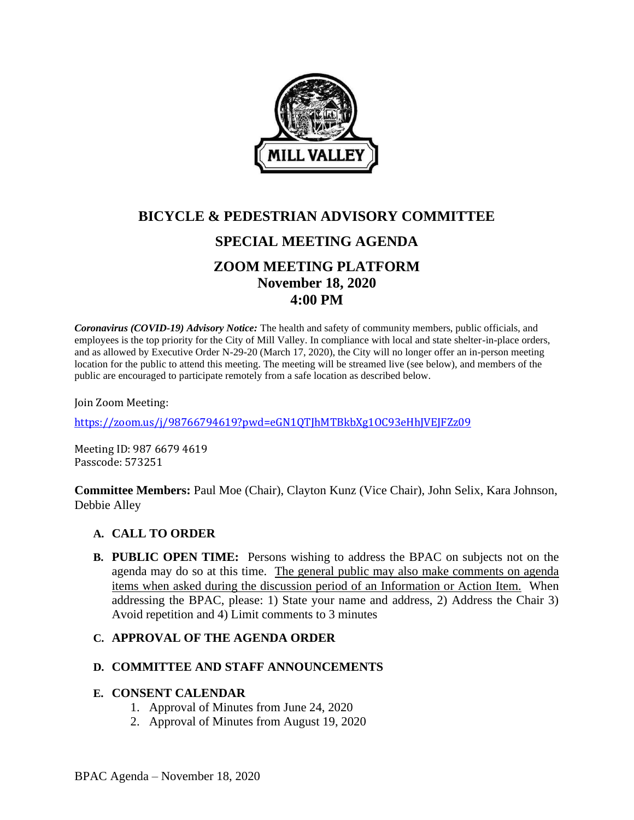

# **BICYCLE & PEDESTRIAN ADVISORY COMMITTEE SPECIAL MEETING AGENDA ZOOM MEETING PLATFORM November 18, 2020 4:00 PM**

*Coronavirus (COVID-19) Advisory Notice:* The health and safety of community members, public officials, and employees is the top priority for the City of Mill Valley. In compliance with local and state shelter-in-place orders, and as allowed by Executive Order N-29-20 (March 17, 2020), the City will no longer offer an in-person meeting location for the public to attend this meeting. The meeting will be streamed live (see below), and members of the public are encouraged to participate remotely from a safe location as described below.

Join Zoom Meeting:

<https://zoom.us/j/98766794619?pwd=eGN1QTJhMTBkbXg1OC93eHhJVEJFZz09>

Meeting ID: 987 6679 4619 Passcode: 573251

**Committee Members:** Paul Moe (Chair), Clayton Kunz (Vice Chair), John Selix, Kara Johnson, Debbie Alley

## **A. CALL TO ORDER**

**B. PUBLIC OPEN TIME:** Persons wishing to address the BPAC on subjects not on the agenda may do so at this time. The general public may also make comments on agenda items when asked during the discussion period of an Information or Action Item. When addressing the BPAC, please: 1) State your name and address, 2) Address the Chair 3) Avoid repetition and 4) Limit comments to 3 minutes

## **C. APPROVAL OF THE AGENDA ORDER**

## **D. COMMITTEE AND STAFF ANNOUNCEMENTS**

## **E. CONSENT CALENDAR**

- 1. Approval of Minutes from June 24, 2020
- 2. Approval of Minutes from August 19, 2020